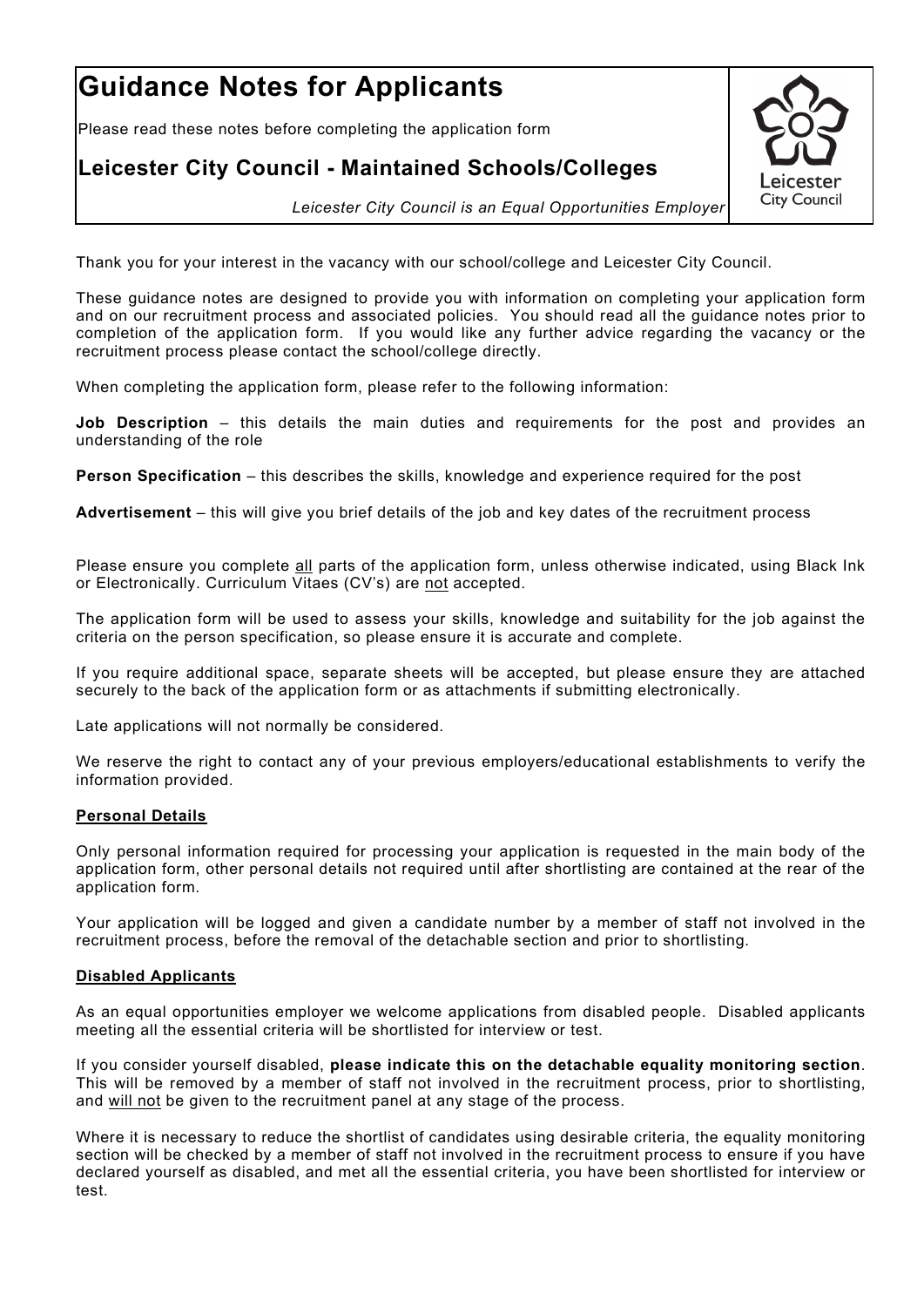# **Guidance Notes for Applicants**

Please read these notes before completing the application form

# **Leicester City Council - Maintained Schools/Colleges**



*Leicester City Council is an Equal Opportunities Employer*

Thank you for your interest in the vacancy with our school/college and Leicester City Council.

These guidance notes are designed to provide you with information on completing your application form and on our recruitment process and associated policies. You should read all the guidance notes prior to completion of the application form. If you would like any further advice regarding the vacancy or the recruitment process please contact the school/college directly.

When completing the application form, please refer to the following information:

**Job Description** – this details the main duties and requirements for the post and provides an understanding of the role

**Person Specification** – this describes the skills, knowledge and experience required for the post

**Advertisement** – this will give you brief details of the job and key dates of the recruitment process

Please ensure you complete all parts of the application form, unless otherwise indicated, using Black Ink or Electronically. Curriculum Vitaes (CV's) are not accepted.

The application form will be used to assess your skills, knowledge and suitability for the job against the criteria on the person specification, so please ensure it is accurate and complete.

If you require additional space, separate sheets will be accepted, but please ensure they are attached securely to the back of the application form or as attachments if submitting electronically.

Late applications will not normally be considered.

We reserve the right to contact any of your previous employers/educational establishments to verify the information provided.

# **Personal Details**

Only personal information required for processing your application is requested in the main body of the application form, other personal details not required until after shortlisting are contained at the rear of the application form.

Your application will be logged and given a candidate number by a member of staff not involved in the recruitment process, before the removal of the detachable section and prior to shortlisting.

# **Disabled Applicants**

As an equal opportunities employer we welcome applications from disabled people. Disabled applicants meeting all the essential criteria will be shortlisted for interview or test.

If you consider yourself disabled, **please indicate this on the detachable equality monitoring section**. This will be removed by a member of staff not involved in the recruitment process, prior to shortlisting, and will not be given to the recruitment panel at any stage of the process.

Where it is necessary to reduce the shortlist of candidates using desirable criteria, the equality monitoring section will be checked by a member of staff not involved in the recruitment process to ensure if you have declared yourself as disabled, and met all the essential criteria, you have been shortlisted for interview or test.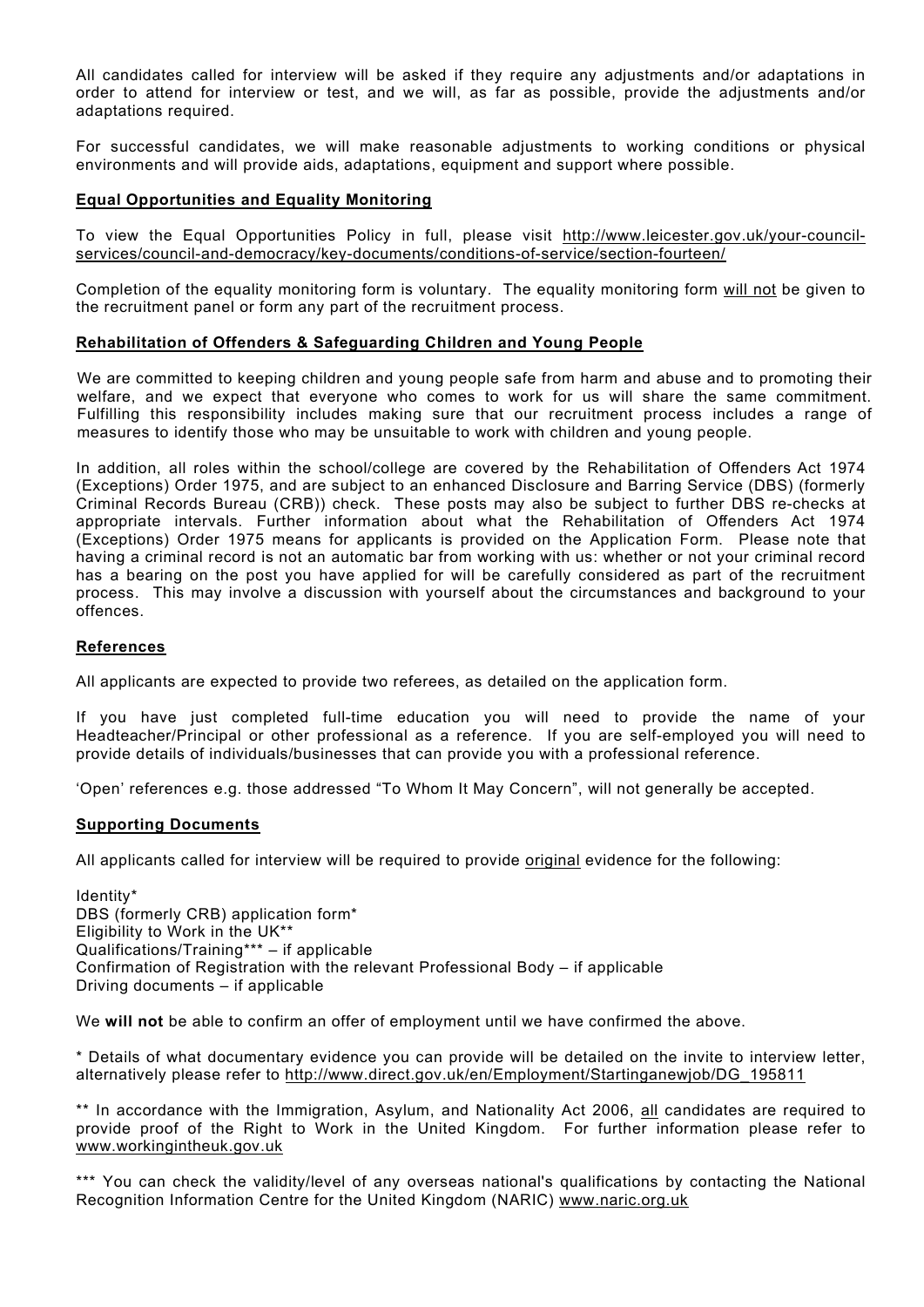All candidates called for interview will be asked if they require any adjustments and/or adaptations in order to attend for interview or test, and we will, as far as possible, provide the adjustments and/or adaptations required.

For successful candidates, we will make reasonable adjustments to working conditions or physical environments and will provide aids, adaptations, equipment and support where possible.

## **Equal Opportunities and Equality Monitoring**

To view the Equal Opportunities Policy in full, please visit [http://www.leicester.gov.uk/your-council](http://www.leicester.gov.uk/your-council-services/council-and-democracy/key-documents/conditions-of-service/section-fourteen/)[services/council-and-democracy/key-documents/conditions-of-service/section-fourteen/](http://www.leicester.gov.uk/your-council-services/council-and-democracy/key-documents/conditions-of-service/section-fourteen/)

Completion of the equality monitoring form is voluntary. The equality monitoring form will not be given to the recruitment panel or form any part of the recruitment process.

#### **Rehabilitation of Offenders & Safeguarding Children and Young People**

We are committed to keeping children and young people safe from harm and abuse and to promoting their welfare, and we expect that everyone who comes to work for us will share the same commitment. Fulfilling this responsibility includes making sure that our recruitment process includes a range of measures to identify those who may be unsuitable to work with children and young people.

In addition, all roles within the school/college are covered by the Rehabilitation of Offenders Act 1974 (Exceptions) Order 1975, and are subject to an enhanced Disclosure and Barring Service (DBS) (formerly Criminal Records Bureau (CRB)) check. These posts may also be subject to further DBS re-checks at appropriate intervals. Further information about what the Rehabilitation of Offenders Act 1974 (Exceptions) Order 1975 means for applicants is provided on the Application Form. Please note that having a criminal record is not an automatic bar from working with us: whether or not your criminal record has a bearing on the post you have applied for will be carefully considered as part of the recruitment process. This may involve a discussion with yourself about the circumstances and background to your offences.

### **References**

All applicants are expected to provide two referees, as detailed on the application form.

If you have just completed full-time education you will need to provide the name of your Headteacher/Principal or other professional as a reference. If you are self-employed you will need to provide details of individuals/businesses that can provide you with a professional reference.

'Open' references e.g. those addressed "To Whom It May Concern", will not generally be accepted.

#### **Supporting Documents**

All applicants called for interview will be required to provide original evidence for the following:

Identity\* DBS (formerly CRB) application form\* Eligibility to Work in the UK\*\* Qualifications/Training\*\*\* – if applicable Confirmation of Registration with the relevant Professional Body – if applicable Driving documents – if applicable

We **will not** be able to confirm an offer of employment until we have confirmed the above.

\* Details of what documentary evidence you can provide will be detailed on the invite to interview letter, alternatively please refer to [http://www.direct.gov.uk/en/Employment/Startinganewjob/DG\\_195811](http://www.direct.gov.uk/en/Employment/Startinganewjob/DG_195811)

\*\* In accordance with the Immigration, Asylum, and Nationality Act 2006, all candidates are required to provide proof of the Right to Work in the United Kingdom. For further information please refer to [www.workingintheuk.gov.uk](http://www.workingintheuk.gov.uk/) 

\*\*\* You can check the validity/level of any overseas national's qualifications by contacting the National Recognition Information Centre for the United Kingdom (NARIC) [www.naric.org.uk](http://www.naric.org.uk/)